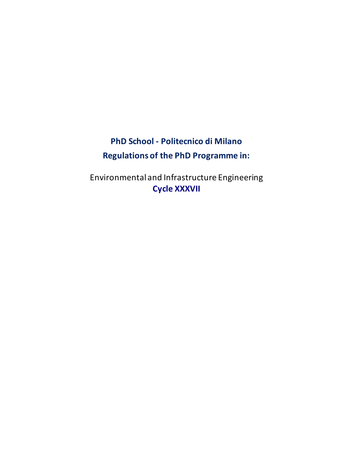**PhD School - Politecnico di Milano Regulations of the PhD Programme in:**

Environmental and Infrastructure Engineering **Cycle XXXVII**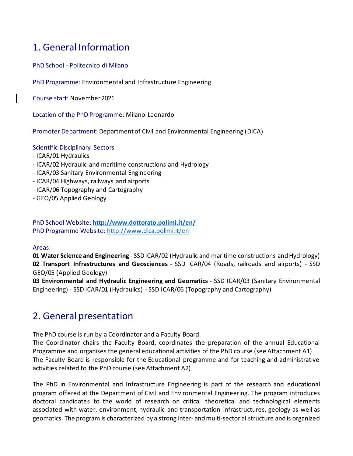# 1. General Information

PhD School - Politecnico di Milano

PhD Programme: Environmental and Infrastructure Engineering

Course start: November 2021

Location of the PhD Programme: Milano Leonardo

Promoter Department: Department of Civil and Environmental Engineering (DICA)

## Scientific Disciplinary Sectors

- ICAR/01 Hydraulics
- ICAR/02 Hydraulic and maritime constructions and Hydrology
- ICAR/03 Sanitary Environmental Engineering
- ICAR/04 Highways, railways and airports
- ICAR/06 Topography and Cartography
- GEO/05 Applied Geology

PhD School Website: **<http://www.dottorato.polimi.it/en/>** PhD Programme Website:<http://www.dica.polimi.it/en>

#### Areas:

**01 Water Science and Engineering** - SSD ICAR/02 (Hydraulic and maritime constructions and Hydrology) **02 Transport Infrastructures and Geosciences** - SSD ICAR/04 (Roads, railroads and airports) - SSD GEO/05 (Applied Geology)

**03 Environmental and Hydraulic Engineering and Geomatics** - SSD ICAR/03 (Sanitary Environmental Engineering) - SSD ICAR/01 (Hydraulics) - SSD ICAR/06 (Topography and Cartography)

# 2. General presentation

The PhD course is run by a Coordinator and a Faculty Board.

The Coordinator chairs the Faculty Board, coordinates the preparation of the annual Educational Programme and organises the general educational activities of the PhD course (see Attachment A1). The Faculty Board is responsible for the Educational programme and for teaching and administrative activities related to the PhD course (see Attachment A2).

The PhD in Environmental and Infrastructure Engineering is part of the research and educational program offered at the Department of Civil and Environmental Engineering. The program introduces doctoral candidates to the world of research on critical theoretical and technological elements associated with water, environment, hydraulic and transportation infrastructures, geology as well as geomatics. The program is characterized by a strong inter- and multi-sectorial structure and is organized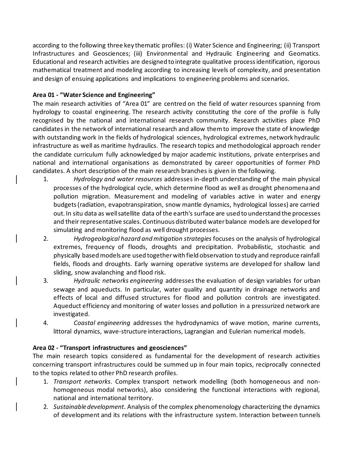according to the following three key thematic profiles: (i) Water Science and Engineering; (ii) Transport Infrastructures and Geosciences; (iii) Environmental and Hydraulic Engineering and Geomatics. Educational and research activities are designed to integrate qualitative process identification, rigorous mathematical treatment and modeling according to increasing levels of complexity, and presentation and design of ensuing applications and implications to engineering problems and scenarios.

## **Area 01 - "Water Science and Engineering"**

The main research activities of "Area 01" are centred on the field of water resources spanning from hydrology to coastal engineering. The research activity constituting the core of the profile is fully recognised by the national and international research community. Research activities place PhD candidates in the network of international research and allow them to improve the state of knowledge with outstanding work in the fields of hydrological sciences, hydrological extremes, network hydraulic infrastructure as well as maritime hydraulics. The research topics and methodological approach render the candidate curriculum fully acknowledged by major academic institutions, private enterprises and national and international organisations as demonstrated by career opportunities of former PhD candidates. A short description of the main research branches is given in the following.

- 1. *Hydrology and water resources* addresses in-depth understanding of the main physical processes of the hydrological cycle, which determine flood as well as drought phenomena and pollution migration. Measurement and modeling of variables active in water and energy budgets (radiation, evapotranspiration, snow mantle dynamics, hydrological losses) are carried out. In situ data as well satellite data of the earth's surface are used to understand the processes and their representative scales. Continuous distributed water balance models are developed for simulating and monitoring flood as well drought processes.
- 2. *Hydrogeological hazard and mitigation strategies* focuses on the analysis of hydrological extremes, frequency of floods, droughts and precipitation. Probabilistic, stochastic and physically based models are used together with field observation to study and reproduce rainfall fields, floods and droughts. Early warning operative systems are developed for shallow land sliding, snow avalanching and flood risk.
- 3. *Hydraulic networks engineering* addresses the evaluation of design variables for urban sewage and aqueducts. In particular, water quality and quantity in drainage networks and effects of local and diffused structures for flood and pollution controls are investigated. Aqueduct efficiency and monitoring of water losses and pollution in a pressurized network are investigated.
- 4. *Coastal engineering* addresses the hydrodynamics of wave motion, marine currents, littoral dynamics, wave-structure interactions, Lagrangian and Eulerian numerical models.

# **Area 02 - "Transport infrastructures and geosciences"**

The main research topics considered as fundamental for the development of research activities concerning transport infrastructures could be summed up in four main topics, reciprocally connected to the topics related to other PhD research profiles.

- 1. *Transport networks*. Complex transport network modelling (both homogeneous and nonhomogeneous modal networks), also considering the functional interactions with regional, national and international territory.
- 2. *Sustainable development*. Analysis of the complex phenomenology characterizing the dynamics of development and its relations with the infrastructure system. Interaction between tunnels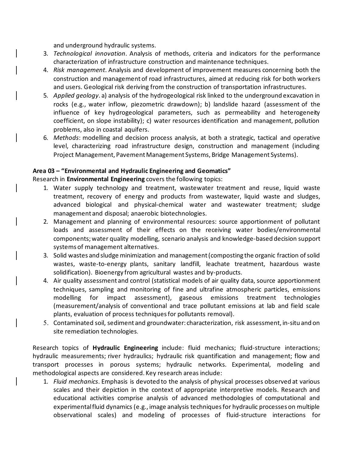and underground hydraulic systems.

- 3. *Technological innovation*. Analysis of methods, criteria and indicators for the performance characterization of infrastructure construction and maintenance techniques.
- 4. *Risk management*. Analysis and development of improvement measures concerning both the construction and management of road infrastructures, aimed at reducing risk for both workers and users. Geological risk deriving from the construction of transportation infrastructures.
- 5. *Applied geology*. a) analysis of the hydrogeological risk linked to the underground excavation in rocks (e.g., water inflow, piezometric drawdown); b) landslide hazard (assessment of the influence of key hydrogeological parameters, such as permeability and heterogeneity coefficient, on slope instability); c) water resources identification and management, pollution problems, also in coastal aquifers.
- 6. *Methods*: modelling and decision process analysis, at both a strategic, tactical and operative level, characterizing road infrastructure design, construction and management (including Project Management, Pavement Management Systems, Bridge Management Systems).

## **Area 03 – "Environmental and Hydraulic Engineering and Geomatics"**

Research in **Environmental Engineering** covers the following topics:

- 1. Water supply technology and treatment, wastewater treatment and reuse, liquid waste treatment, recovery of energy and products from wastewater, liquid waste and sludges, advanced biological and physical-chemical water and wastewater treatment; sludge management and disposal; anaerobic biotechnologies.
- 2. Management and planning of environmental resources: source apportionment of pollutant loads and assessment of their effects on the receiving water bodies/environmental components; water quality modelling, scenario analysis and knowledge-based decision support systems of management alternatives.
- 3. Solid wastes and sludge minimization and management (composting the organic fraction of solid wastes, waste-to-energy plants, sanitary landfill, leachate treatment, hazardous waste solidification). Bioenergy from agricultural wastes and by-products.
- 4. Air quality assessment and control (statistical models of air quality data, source apportionment techniques, sampling and monitoring of fine and ultrafine atmospheric particles, emissions modelling for impact assessment), gaseous emissions treatment technologies (measurement/analysis of conventional and trace pollutant emissions at lab and field scale plants, evaluation of process techniques for pollutants removal).
- 5. Contaminated soil, sediment and groundwater: characterization, risk assessment, in-situ and on site remediation technologies*.*

Research topics of **Hydraulic Engineering** include: fluid mechanics; fluid-structure interactions; hydraulic measurements; river hydraulics; hydraulic risk quantification and management; flow and transport processes in porous systems; hydraulic networks. Experimental, modeling and methodological aspects are considered. Key research areas include:

1. *Fluid mechanics*. Emphasis is devoted to the analysis of physical processes observed at various scales and their depiction in the context of appropriate interpretive models. Research and educational activities comprise analysis of advanced methodologies of computational and experimental fluid dynamics (e.g., image analysis techniques for hydraulic processes on multiple observational scales) and modeling of processes of fluid-structure interactions for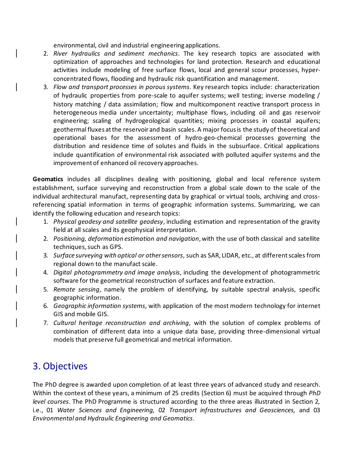environmental, civil and industrial engineering applications.

- 2. *River hydraulics and sediment mechanics*. The key research topics are associated with optimization of approaches and technologies for land protection. Research and educational activities include modeling of free surface flows, local and general scour processes, hyperconcentrated flows, flooding and hydraulic risk quantification and management.
- 3. *Flow and transport processes in porous systems*. Key research topics include: characterization of hydraulic properties from pore-scale to aquifer systems; well testing; inverse modeling / history matching / data assimilation; flow and multicomponent reactive transport process in heterogeneous media under uncertainty; multiphase flows, including oil and gas reservoir engineering; scaling of hydrogeological quantities; mixing processes in coastal aquifers; geothermal fluxes at the reservoir and basin scales. A major focus is the study of theoretical and operational bases for the assessment of hydro-geo-chemical processes governing the distribution and residence time of solutes and fluids in the subsurface. Critical applications include quantification of environmental risk associated with polluted aquifer systems and the improvement of enhanced oil recovery approaches.

**Geomatics** includes all disciplines dealing with positioning, global and local reference system establishment, surface surveying and reconstruction from a global scale down to the scale of the individual architectural manufact, representing data by graphical or virtual tools, archiving and crossreferencing spatial information in terms of geographic information systems. Summarizing, we can identify the following education and research topics:

- 1. *Physical geodesy and satellite geodesy*, including estimation and representation of the gravity field at all scales and its geophysical interpretation.
- 2. *Positioning, deformation estimation and navigation*, with the use of both classical and satellite techniques, such as GPS.
- 3. *Surface surveying with optical or other sensors*, such as SAR, LIDAR, etc., at different scales from regional down to the manufact scale.
- 4. *Digital photogrammetry and image analysis*, including the development of photogrammetric software for the geometrical reconstruction of surfaces and feature extraction.
- 5. *Remote sensing*, namely the problem of identifying, by suitable spectral analysis, specific geographic information.
- 6. *Geographic information systems*, with application of the most modern technology for internet GIS and mobile GIS.
- 7. *Cultural heritage reconstruction and archiving*, with the solution of complex problems of combination of different data into a unique data base, providing three-dimensional virtual models that preserve full geometrical and metrical information.

# 3. Objectives

The PhD degree is awarded upon completion of at least three years of advanced study and research. Within the context of these years, a minimum of 25 credits (Section 6) must be acquired through *PhD level courses*. The PhD Programme is structured according to the three areas illustrated in Section 2, i.e., 01 *Water Sciences and Engineering,* 02 *Transport infrastructures and Geosciences,* and 03 *Environmental and Hydraulic Engineering and Geomatics*.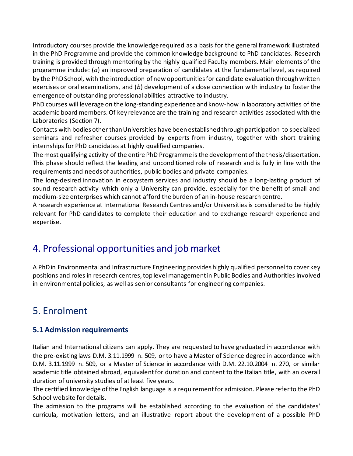Introductory courses provide the knowledge required as a basis for the general framework illustrated in the PhD Programme and provide the common knowledge background to PhD candidates. Research training is provided through mentoring by the highly qualified Faculty members. Main elements of the programme include: (*a*) an improved preparation of candidates at the fundamental level, as required by the PhD School, with the introduction of new opportunities for candidate evaluation through written exercises or oral examinations, and (*b*) development of a close connection with industry to foster the emergence of outstanding professional abilities attractive to industry.

PhD courses will leverage on the long-standing experience and know-how in laboratory activities of the academic board members. Of key relevance are the training and research activities associated with the Laboratories (Section 7).

Contacts with bodies other than Universities have been established through participation to specialized seminars and refresher courses provided by experts from industry, together with short training internships for PhD candidates at highly qualified companies.

The most qualifying activity of the entire PhD Programme is the development of the thesis/dissertation. This phase should reflect the leading and unconditioned role of research and is fully in line with the requirements and needs of authorities, public bodies and private companies.

The long-desired innovation in ecosystem services and industry should be a long-lasting product of sound research activity which only a University can provide, especially for the benefit of small and medium-size enterprises which cannot afford the burden of an in-house research centre.

A research experience at International Research Centres and/or Universities is considered to be highly relevant for PhD candidates to complete their education and to exchange research experience and expertise.

# 4. Professional opportunities and job market

A PhD in Environmental and Infrastructure Engineering provides highly qualified personnel to cover key positions and roles in research centres, top level management in Public Bodies and Authorities involved in environmental policies, as well as senior consultants for engineering companies.

# 5. Enrolment

# **5.1 Admission requirements**

Italian and International citizens can apply. They are requested to have graduated in accordance with the pre-existing laws D.M. 3.11.1999 n. 509, or to have a Master of Science degree in accordance with D.M. 3.11.1999 n. 509, or a Master of Science in accordance with D.M. 22.10.2004 n. 270, or similar academic title obtained abroad, equivalent for duration and content to the Italian title, with an overall duration of university studies of at least five years.

The certified knowledge of the English language is a requirement for admission. Please refer to the PhD School website for details.

The admission to the programs will be established according to the evaluation of the candidates' curricula, motivation letters, and an illustrative report about the development of a possible PhD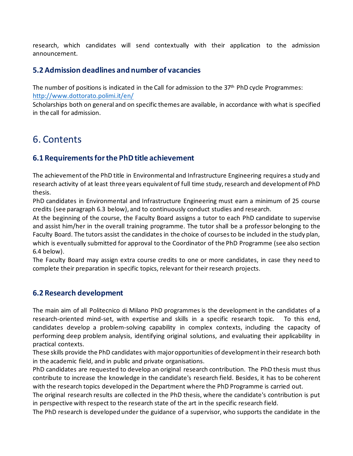research, which candidates will send contextually with their application to the admission announcement.

# **5.2 Admission deadlines and number of vacancies**

The number of positions is indicated in the Call for admission to the 37<sup>th</sup> PhD cycle Programmes: http://www.dottorato.polimi.it/en/

Scholarships both on general and on specific themes are available, in accordance with what is specified in the call for admission.

# 6. Contents

# **6.1 Requirements for the PhD title achievement**

The achievement of the PhD title in Environmental and Infrastructure Engineering requires a study and research activity of at least three years equivalent of full time study, research and development of PhD thesis.

PhD candidates in Environmental and Infrastructure Engineering must earn a minimum of 25 course credits (see paragraph 6.3 below), and to continuously conduct studies and research.

At the beginning of the course, the Faculty Board assigns a tutor to each PhD candidate to supervise and assist him/her in the overall training programme. The tutor shall be a professor belonging to the Faculty Board. The tutors assist the candidates in the choice of courses to be included in the study plan, which is eventually submitted for approval to the Coordinator of the PhD Programme (see also section 6.4 below).

The Faculty Board may assign extra course credits to one or more candidates, in case they need to complete their preparation in specific topics, relevant for their research projects.

# **6.2 Research development**

The main aim of all Politecnico di Milano PhD programmes is the development in the candidates of a research-oriented mind-set, with expertise and skills in a specific research topic. To this end, candidates develop a problem-solving capability in complex contexts, including the capacity of performing deep problem analysis, identifying original solutions, and evaluating their applicability in practical contexts.

These skills provide the PhD candidates with major opportunities of development in their research both in the academic field, and in public and private organisations.

PhD candidates are requested to develop an original research contribution. The PhD thesis must thus contribute to increase the knowledge in the candidate's research field. Besides, it has to be coherent with the research topics developed in the Department where the PhD Programme is carried out.

The original research results are collected in the PhD thesis, where the candidate's contribution is put in perspective with respect to the research state of the art in the specific research field.

The PhD research is developed under the guidance of a supervisor, who supports the candidate in the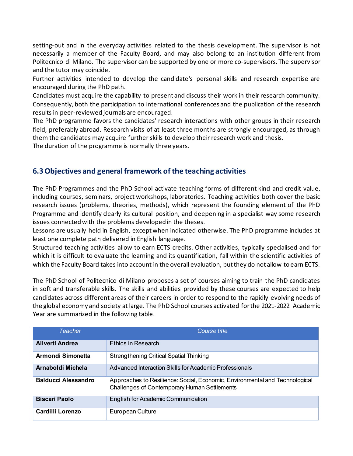setting-out and in the everyday activities related to the thesis development. The supervisor is not necessarily a member of the Faculty Board, and may also belong to an institution different from Politecnico di Milano. The supervisor can be supported by one or more co-supervisors. The supervisor and the tutor may coincide.

Further activities intended to develop the candidate's personal skills and research expertise are encouraged during the PhD path.

Candidates must acquire the capability to present and discuss their work in their research community. Consequently, both the participation to international conferences and the publication of the research results in peer-reviewed journals are encouraged.

The PhD programme favors the candidates' research interactions with other groups in their research field, preferably abroad. Research visits of at least three months are strongly encouraged, as through them the candidates may acquire further skills to develop their research work and thesis.

The duration of the programme is normally three years.

# **6.3 Objectives and general framework of the teaching activities**

The PhD Programmes and the PhD School activate teaching forms of different kind and credit value, including courses, seminars, project workshops, laboratories. Teaching activities both cover the basic research issues (problems, theories, methods), which represent the founding element of the PhD Programme and identify clearly its cultural position, and deepening in a specialist way some research issues connected with the problems developed in the theses.

Lessons are usually held in English, except when indicated otherwise. The PhD programme includes at least one complete path delivered in English language.

Structured teaching activities allow to earn ECTS credits. Other activities, typically specialised and for which it is difficult to evaluate the learning and its quantification, fall within the scientific activities of which the Faculty Board takes into account in the overall evaluation, but they do not allow to earn ECTS.

The PhD School of Politecnico di Milano proposes a set of courses aiming to train the PhD candidates in soft and transferable skills. The skills and abilities provided by these courses are expected to help candidates across different areas of their careers in order to respond to the rapidly evolving needs of the global economy and society at large. The PhD School courses activated for the 2021-2022 Academic Year are summarized in the following table.

| <b>Teacher</b>             | Course title                                                                                                                |
|----------------------------|-----------------------------------------------------------------------------------------------------------------------------|
| <b>Aliverti Andrea</b>     | Ethics in Research                                                                                                          |
| Armondi Simonetta          | <b>Strengthening Critical Spatial Thinking</b>                                                                              |
| Arnaboldi Michela          | Advanced Interaction Skills for Academic Professionals                                                                      |
| <b>Balducci Alessandro</b> | Approaches to Resilience: Social, Economic, Environmental and Technological<br>Challenges of Contemporary Human Settlements |
| <b>Biscari Paolo</b>       | English for Academic Communication                                                                                          |
| Cardilli Lorenzo           | European Culture                                                                                                            |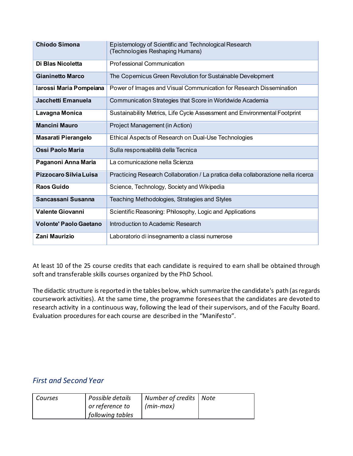| <b>Chiodo Simona</b>          | Epistemology of Scientific and Technological Research<br>(Technologies Reshaping Humans) |  |  |  |
|-------------------------------|------------------------------------------------------------------------------------------|--|--|--|
| Di Blas Nicoletta             | <b>Professional Communication</b>                                                        |  |  |  |
| <b>Gianinetto Marco</b>       | The Copernicus Green Revolution for Sustainable Development                              |  |  |  |
| Iarossi Maria Pompeiana       | Power of Images and Visual Communication for Research Dissemination                      |  |  |  |
| Jacchetti Emanuela            | Communication Strategies that Score in Worldwide Academia                                |  |  |  |
| Lavagna Monica                | Sustainability Metrics, Life Cycle Assessment and Environmental Footprint                |  |  |  |
| <b>Mancini Mauro</b>          | Project Management (in Action)                                                           |  |  |  |
| <b>Masarati Pierangelo</b>    | Ethical Aspects of Research on Dual-Use Technologies                                     |  |  |  |
| Ossi Paolo Maria              | Sulla responsabilità della Tecnica                                                       |  |  |  |
| Paganoni Anna Maria           | La comunicazione nella Scienza                                                           |  |  |  |
| Pizzocaro Silvia Luisa        | Practicing Research Collaboration / La pratica della collaborazione nella ricerca        |  |  |  |
| <b>Raos Guido</b>             | Science, Technology, Society and Wikipedia                                               |  |  |  |
| Sancassani Susanna            | Teaching Methodologies, Strategies and Styles                                            |  |  |  |
| <b>Valente Giovanni</b>       | Scientific Reasoning: Philosophy, Logic and Applications                                 |  |  |  |
| <b>Volonte' Paolo Gaetano</b> | Introduction to Academic Research                                                        |  |  |  |
| <b>Zani Maurizio</b>          | Laboratorio di insegnamento a classi numerose                                            |  |  |  |

At least 10 of the 25 course credits that each candidate is required to earn shall be obtained through soft and transferable skills courses organized by the PhD School.

The didactic structure is reported in the tables below, which summarize the candidate's path (as regards coursework activities). At the same time, the programme foresees that the candidates are devoted to research activity in a continuous way, following the lead of their supervisors, and of the Faculty Board. Evaluation procedures for each course are described in the "Manifesto".

# *First and Second Year*

| Courses | Possible details<br>or reference to | Number of credits   Note<br>$(min-max)$ |  |
|---------|-------------------------------------|-----------------------------------------|--|
|         | <i>following tables</i>             |                                         |  |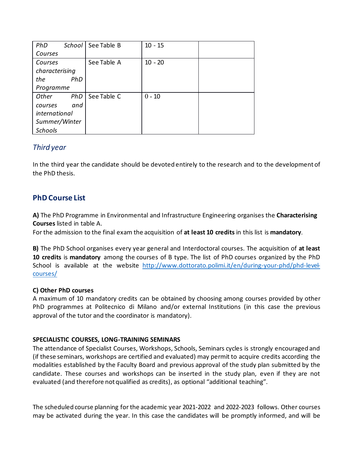| PhD            |     | School   See Table B | $10 - 15$ |  |
|----------------|-----|----------------------|-----------|--|
| Courses        |     |                      |           |  |
| Courses        |     | See Table A          | $10 - 20$ |  |
| characterising |     |                      |           |  |
| the            | PhD |                      |           |  |
| Programme      |     |                      |           |  |
| Other          | PhD | See Table C          | $0 - 10$  |  |
| courses        | and |                      |           |  |
| international  |     |                      |           |  |
| Summer/Winter  |     |                      |           |  |
| Schools        |     |                      |           |  |

# *Third year*

In the third year the candidate should be devoted entirely to the research and to the development of the PhD thesis.

## **PhD Course List**

**A)** The PhD Programme in Environmental and Infrastructure Engineering organises the **Characterising Courses** listed in table A.

For the admission to the final exam the acquisition of **at least 10 credits** in this list is **mandatory**.

**B)** The PhD School organises every year general and Interdoctoral courses. The acquisition of **at least 10 credits** is **mandatory** among the courses of B type*.* The list of PhD courses organized by the PhD School is available at the website [http://www.dottorato.polimi.it/en/during-your-phd/phd-level](http://www.dottorato.polimi.it/en/during-your-phd/phd-level-courses/)[courses/](http://www.dottorato.polimi.it/en/during-your-phd/phd-level-courses/)

#### **C) Other PhD courses**

A maximum of 10 mandatory credits can be obtained by choosing among courses provided by other PhD programmes at Politecnico di Milano and/or external Institutions (in this case the previous approval of the tutor and the coordinator is mandatory).

#### **SPECIALISTIC COURSES, LONG-TRAINING SEMINARS**

The attendance of Specialist Courses, Workshops, Schools, Seminars cycles is strongly encouraged and (if these seminars, workshops are certified and evaluated) may permit to acquire credits according the modalities established by the Faculty Board and previous approval of the study plan submitted by the candidate. These courses and workshops can be inserted in the study plan, even if they are not evaluated (and therefore not qualified as credits), as optional "additional teaching".

The scheduled course planning for the academic year 2021-2022 and 2022-2023 follows. Other courses may be activated during the year. In this case the candidates will be promptly informed, and will be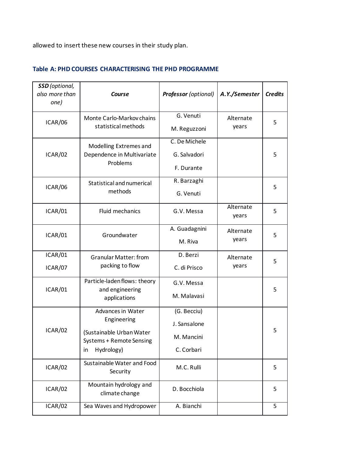allowed to insert these new courses in their study plan.

| SSD (optional,<br>also more than<br>one) | Course                                                                                                       | <b>Professor</b> (optional)                             | A.Y./Semester      | <b>Credits</b> |
|------------------------------------------|--------------------------------------------------------------------------------------------------------------|---------------------------------------------------------|--------------------|----------------|
| ICAR/06                                  | Monte Carlo-Markov chains<br>statistical methods                                                             | G. Venuti<br>M. Reguzzoni                               | Alternate<br>years | 5              |
| ICAR/02                                  | Modelling Extremes and<br>Dependence in Multivariate<br>Problems                                             | C. De Michele<br>G. Salvadori<br>F. Durante             |                    | 5              |
| <b>ICAR/06</b>                           | Statistical and numerical<br>methods                                                                         | R. Barzaghi<br>G. Venuti                                |                    | 5              |
| ICAR/01                                  | Fluid mechanics                                                                                              | G.V. Messa                                              | Alternate<br>years | 5              |
| ICAR/01                                  | Groundwater                                                                                                  | A. Guadagnini<br>M. Riva                                | Alternate<br>years | 5              |
| ICAR/01<br>ICAR/07                       | <b>Granular Matter: from</b><br>packing to flow                                                              | D. Berzi<br>C. di Prisco                                | Alternate<br>years | 5              |
| ICAR/01                                  | Particle-laden flows: theory<br>and engineering<br>applications                                              | G.V. Messa<br>M. Malavasi                               |                    | 5              |
| ICAR/02                                  | Advances in Water<br>Engineering<br>(Sustainable Urban Water<br>Systems + Remote Sensing<br>Hydrology)<br>in | (G. Becciu)<br>J. Sansalone<br>M. Mancini<br>C. Corbari |                    | 5              |
| <b>ICAR/02</b>                           | Sustainable Water and Food<br>Security                                                                       | M.C. Rulli                                              |                    | 5              |
| <b>ICAR/02</b>                           | Mountain hydrology and<br>climate change                                                                     | D. Bocchiola                                            |                    | 5              |
| ICAR/02                                  | Sea Waves and Hydropower                                                                                     | A. Bianchi                                              |                    | 5              |

## **Table A: PHD COURSES CHARACTERISING THE PHD PROGRAMME**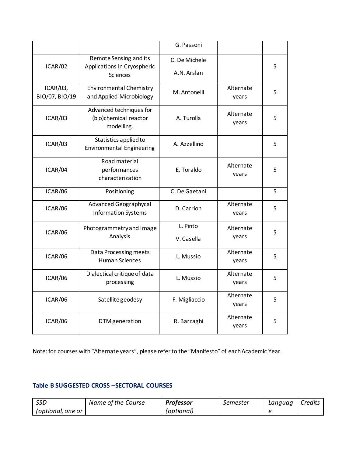|                            |                                                                | G. Passoni    |                    |   |
|----------------------------|----------------------------------------------------------------|---------------|--------------------|---|
|                            | Remote Sensing and its                                         | C. De Michele |                    |   |
| ICAR/02                    | Applications in Cryospheric<br><b>Sciences</b>                 | A.N. Arslan   |                    | 5 |
| ICAR/03,<br>BIO/07, BIO/19 | <b>Environmental Chemistry</b><br>and Applied Microbiology     | M. Antonelli  | Alternate<br>years | 5 |
| ICAR/03                    | Advanced techniques for<br>(bio)chemical reactor<br>modelling. | A. Turolla    | Alternate<br>years | 5 |
| ICAR/03                    | Statistics applied to<br><b>Environmental Engineering</b>      | A. Azzellino  |                    | 5 |
| ICAR/04                    | Road material<br>performances<br>characterization              | E. Toraldo    | Alternate<br>years | 5 |
| ICAR/06                    | Positioning                                                    | C. De Gaetani |                    | 5 |
| ICAR/06                    | <b>Advanced Geographycal</b><br><b>Information Systems</b>     | D. Carrion    | Alternate<br>years | 5 |
| ICAR/06                    | Photogrammetry and Image                                       | L. Pinto      | Alternate          | 5 |
|                            | Analysis                                                       | V. Casella    | years              |   |
| ICAR/06                    | Data Processing meets                                          | L. Mussio     | Alternate          |   |
|                            | <b>Human Sciences</b>                                          |               | years              | 5 |
| ICAR/06                    | Dialectical critique of data<br>processing                     | L. Mussio     | Alternate<br>years | 5 |
| ICAR/06                    | Satellite geodesy                                              | F. Migliaccio | Alternate<br>years | 5 |

Note: for courses with "Alternate years", please refer to the "Manifesto" of each Academic Year.

#### **Table B SUGGESTED CROSS –SECTORAL COURSES**

| <b>SSD</b>        | Name of the Course | Professor  | Semester | Languag | Credits |
|-------------------|--------------------|------------|----------|---------|---------|
| (optional, one or |                    | (optional) |          |         |         |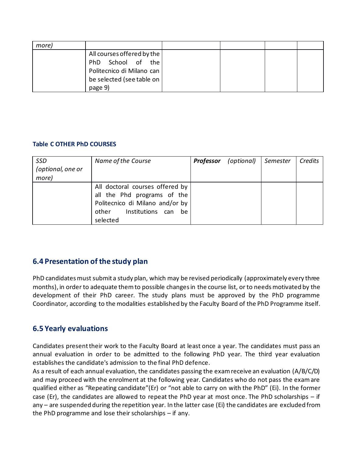| more) |                            |  |  |
|-------|----------------------------|--|--|
|       | All courses offered by the |  |  |
|       | PhD School of the I        |  |  |
|       | Politecnico di Milano can  |  |  |
|       | be selected (see table on  |  |  |
|       | page 9)                    |  |  |

## **Table C OTHER PhD COURSES**

| SSD               | Name of the Course              | Professor | (optional) | Semester | Credits |
|-------------------|---------------------------------|-----------|------------|----------|---------|
| (optional, one or |                                 |           |            |          |         |
| more)             |                                 |           |            |          |         |
|                   | All doctoral courses offered by |           |            |          |         |
|                   | all the Phd programs of the     |           |            |          |         |
|                   | Politecnico di Milano and/or by |           |            |          |         |
|                   | Institutions can<br>other<br>be |           |            |          |         |
|                   | selected                        |           |            |          |         |

# **6.4 Presentation of the study plan**

PhD candidates must submit a study plan, which may be revised periodically (approximately every three months), in order to adequate them to possible changes in the course list, or to needs motivated by the development of their PhD career. The study plans must be approved by the PhD programme Coordinator, according to the modalities established by the Faculty Board of the PhD Programme itself.

# **6.5 Yearly evaluations**

Candidates present their work to the Faculty Board at least once a year. The candidates must pass an annual evaluation in order to be admitted to the following PhD year. The third year evaluation establishes the candidate's admission to the final PhD defence.

As a result of each annual evaluation, the candidates passing the exam receive an evaluation (A/B/C/D) and may proceed with the enrolment at the following year. Candidates who do not pass the exam are qualified either as "Repeating candidate"(Er) or "not able to carry on with the PhD" (Ei). In the former case (Er), the candidates are allowed to repeat the PhD year at most once. The PhD scholarships – if any – are suspended during the repetition year. In the latter case (Ei) the candidates are excluded from the PhD programme and lose their scholarships – if any.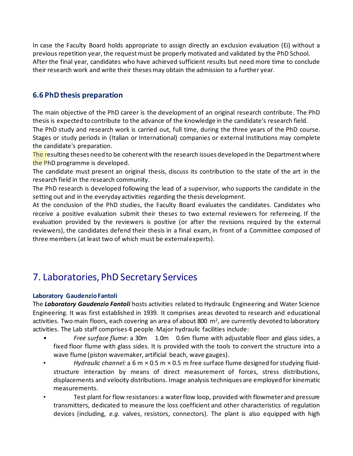In case the Faculty Board holds appropriate to assign directly an exclusion evaluation (Ei) without a previous repetition year, the request must be properly motivated and validated by the PhD School. After the final year, candidates who have achieved sufficient results but need more time to conclude their research work and write their theses may obtain the admission to a further year.

# **6.6 PhD thesis preparation**

The main objective of the PhD career is the development of an original research contribute. The PhD thesis is expected to contribute to the advance of the knowledge in the candidate's research field.

The PhD study and research work is carried out, full time, during the three years of the PhD course. Stages or study periods in (Italian or International) companies or external Institutions may complete the candidate's preparation.

The resulting theses need to be coherent with the research issues developed in the Department where the PhD programme is developed.

The candidate must present an original thesis, discuss its contribution to the state of the art in the research field in the research community.

The PhD research is developed following the lead of a supervisor, who supports the candidate in the setting out and in the everyday activities regarding the thesis development.

At the conclusion of the PhD studies, the Faculty Board evaluates the candidates. Candidates who receive a positive evaluation submit their theses to two external reviewers for refereeing. If the evaluation provided by the reviewers is positive (or after the revisions required by the external reviewers), the candidates defend their thesis in a final exam, in front of a Committee composed of three members (at least two of which must be external experts).

# 7. Laboratories, PhD Secretary Services

## **Laboratory Gaudenzio Fantoli**

The *Laboratory Gaudenzio Fantoli* hosts activities related to Hydraulic Engineering and Water Science Engineering. It was first established in 1939. It comprises areas devoted to research and educational activities. Two main floors, each covering an area of about 800  $\mathrm{m}^2$ , are currently devoted to laboratory activities. The Lab staff comprises 4 people. Major hydraulic facilities include:

- *Free surface flume*: a 30m 1.0m 0.6m flume with adjustable floor and glass sides, a fixed floor flume with glass sides. It is provided with the tools to convert the structure into a wave flume (piston wavemaker, artificial beach, wave gauges).
- *Hydraulic channel:* a 6 m × 0.5 m × 0.5 m free surface flume designed for studying fluidstructure interaction by means of direct measurement of forces, stress distributions, displacements and velocity distributions. Image analysis techniques are employed for kinematic measurements.
- Test plant for flow resistances: a water flow loop, provided with flowmeter and pressure transmitters, dedicated to measure the loss coefficient and other characteristics of regulation devices (including, *e.g.* valves, resistors, connectors). The plant is also equipped with high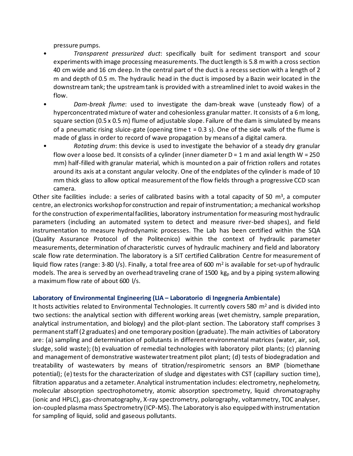pressure pumps.

- *Transparent pressurized duct*: specifically built for sediment transport and scour experiments with image processing measurements. The duct length is 5.8 m with a cross section 40 cm wide and 16 cm deep. In the central part of the duct is a recess section with a length of 2 m and depth of 0.5 m. The hydraulic head in the duct is imposed by a Bazin weir located in the downstream tank; the upstream tank is provided with a streamlined inlet to avoid wakes in the flow.
- *Dam-break flume*: used to investigate the dam-break wave (unsteady flow) of a hyperconcentrated mixture of water and cohesionless granular matter. It consists of a 6 m long, square section (0.5 x 0.5 m) flume of adjustable slope. Failure of the dam is simulated by means of a pneumatic rising sluice-gate (opening time  $t = 0.3$  s). One of the side walls of the flume is made of glass in order to record of wave propagation by means of a digital camera.
- *Rotating drum*: this device is used to investigate the behavior of a steady dry granular flow over a loose bed. It consists of a cylinder (inner diameter  $D = 1$  m and axial length W = 250 mm) half-filled with granular material, which is mounted on a pair of friction rollers and rotates around its axis at a constant angular velocity. One of the endplates of the cylinder is made of 10 mm thick glass to allow optical measurement of the flow fields through a progressive CCD scan camera.

Other site facilities include: a series of calibrated basins with a total capacity of 50  $m<sup>3</sup>$ , a computer centre, an electronics workshop for construction and repair of instrumentation; a mechanical workshop for the construction of experimental facilities, laboratory instrumentation for measuring most hydraulic parameters (including an automated system to detect and measure river-bed shapes), and field instrumentation to measure hydrodynamic processes. The Lab has been certified within the SQA (Quality Assurance Protocol of the Politecnico) within the context of hydraulic parameter measurements, determination of characteristic curves of hydraulic machinery and field and laboratory scale flow rate determination. The laboratory is a SIT certified Calibration Centre for measurement of liquid flow rates (range: 3-80 l/s). Finally, a total free area of 600  $m<sup>2</sup>$  is available for set-up of hydraulic models. The area is served by an overhead traveling crane of 1500 kg<sub>p</sub> and by a piping system allowing a maximum flow rate of about 600 l/s.

#### **Laboratory of Environmental Engineering (LIA – Laboratorio di Ingegneria Ambientale)**

It hosts activities related to Environmental Technologies. It currently covers 580  $m<sup>2</sup>$  and is divided into two sections: the analytical section with different working areas (wet chemistry, sample preparation, analytical instrumentation, and biology) and the pilot-plant section. The Laboratory staff comprises 3 permanent staff (2 graduates) and one temporary position (graduate). The main activities of Laboratory are: (a) sampling and determination of pollutants in different environmental matrices (water, air, soil, sludge, solid waste); (b) evaluation of remedial technologies with laboratory pilot plants; (c) planning and management of demonstrative wastewater treatment pilot plant; (d) tests of biodegradation and treatability of wastewaters by means of titration/respirometric sensors an BMP (biomethane potential); (e) tests for the characterization of sludge and digestates with CST (capillary suction time), filtration apparatus and a zetameter. Analytical instrumentation includes: electrometry, nephelometry, molecular absorption spectrophotometry, atomic absorption spectrometry, liquid chromatography (ionic and HPLC), gas-chromatography, X-ray spectrometry, polarography, voltammetry, TOC analyser, ion-coupled plasma mass Spectrometry (ICP-MS). The Laboratory is also equipped with instrumentation for sampling of liquid, solid and gaseous pollutants.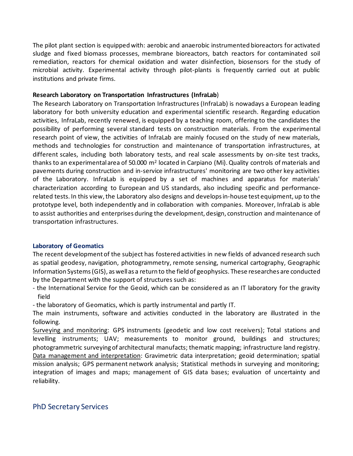The pilot plant section is equipped with: aerobic and anaerobic instrumented bioreactors for activated sludge and fixed biomass processes, membrane bioreactors, batch reactors for contaminated soil remediation, reactors for chemical oxidation and water disinfection, biosensors for the study of microbial activity. Experimental activity through pilot-plants is frequently carried out at public institutions and private firms.

#### **Research Laboratory on Transportation Infrastructures (InfraLab**)

The Research Laboratory on Transportation Infrastructures (InfraLab) is nowadays a European leading laboratory for both university education and experimental scientific research. Regarding education activities, InfraLab, recently renewed, is equipped by a teaching room, offering to the candidates the possibility of performing several standard tests on construction materials. From the experimental research point of view, the activities of InfraLab are mainly focused on the study of new materials, methods and technologies for construction and maintenance of transportation infrastructures, at different scales, including both laboratory tests, and real scale assessments by on-site test tracks, thanks to an experimental area of 50.000 m<sup>2</sup> located in Carpiano (Mi). Quality controls of materials and pavements during construction and in-service infrastructures' monitoring are two other key activities of the Laboratory. InfraLab is equipped by a set of machines and apparatus for materials' characterization according to European and US standards, also including specific and performancerelated tests. In this view, the Laboratory also designs and develops in-house test equipment, up to the prototype level, both independently and in collaboration with companies. Moreover, InfraLab is able to assist authorities and enterprises during the development, design, construction and maintenance of transportation infrastructures.

## **Laboratory of Geomatics**

The recent development of the subject has fostered activities in new fields of advanced research such as spatial geodesy, navigation, photogrammetry, remote sensing, numerical cartography, Geographic Information Systems (GIS), as well as a return to the field of geophysics. These researches are conducted by the Department with the support of structures such as:

- the International Service for the Geoid, which can be considered as an IT laboratory for the gravity field
- the laboratory of Geomatics, which is partly instrumental and partly IT.

The main instruments, software and activities conducted in the laboratory are illustrated in the following.

Surveying and monitoring: GPS instruments (geodetic and low cost receivers); Total stations and levelling instruments; UAV; measurements to monitor ground, buildings and structures; photogrammetric surveying of architectural manufacts; thematic mapping; infrastructure land registry. Data management and interpretation: Gravimetric data interpretation; geoid determination; spatial mission analysis; GPS permanent network analysis; Statistical methods in surveying and monitoring; integration of images and maps; management of GIS data bases; evaluation of uncertainty and reliability.

## PhD Secretary Services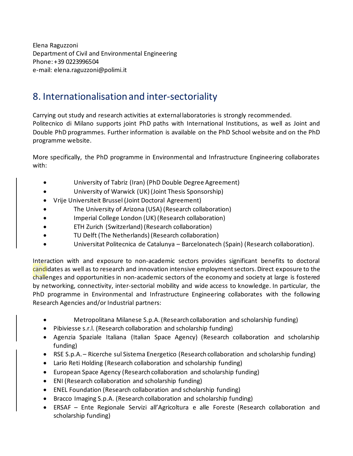Elena Raguzzoni Department of Civil and Environmental Engineering Phone: +39 0223996504 e-mail: elena.raguzzoni@polimi.it

# 8. Internationalisation and inter-sectoriality

Carrying out study and research activities at external laboratories is strongly recommended. Politecnico di Milano supports joint PhD paths with International Institutions, as well as Joint and Double PhD programmes. Further information is available on the PhD School website and on the PhD programme website.

More specifically, the PhD programme in Environmental and Infrastructure Engineering collaborates with:

- University of Tabriz (Iran) (PhD Double Degree Agreement)
- University of Warwick (UK) (Joint Thesis Sponsorship)
- Vrije Universiteit Brussel (Joint Doctoral Agreement)
- The University of Arizona (USA) (Research collaboration)
- Imperial College London (UK) (Research collaboration)
- ETH Zurich (Switzerland) (Research collaboration)
- TU Delft (The Netherlands) (Research collaboration)
- Universitat Politecnica de Catalunya Barcelonatech (Spain) (Research collaboration).

Interaction with and exposure to non-academic sectors provides significant benefits to doctoral candidates as well as to research and innovation intensive employment sectors. Direct exposure to the challenges and opportunities in non-academic sectors of the economy and society at large is fostered by networking, connectivity, inter-sectorial mobility and wide access to knowledge. In particular, the PhD programme in Environmental and Infrastructure Engineering collaborates with the following Research Agencies and/or Industrial partners:

- Metropolitana Milanese S.p.A. (Research collaboration and scholarship funding)
- Pibiviesse s.r.l. (Research collaboration and scholarship funding)
- Agenzia Spaziale Italiana (Italian Space Agency) (Research collaboration and scholarship funding)
- RSE S.p.A. Ricerche sul Sistema Energetico (Research collaboration and scholarship funding)
- Lario Reti Holding (Research collaboration and scholarship funding)
- European Space Agency (Research collaboration and scholarship funding)
- ENI (Research collaboration and scholarship funding)
- ENEL Foundation (Research collaboration and scholarship funding)
- Bracco Imaging S.p.A. (Research collaboration and scholarship funding)
- ERSAF Ente Regionale Servizi all'Agricoltura e alle Foreste (Research collaboration and scholarship funding)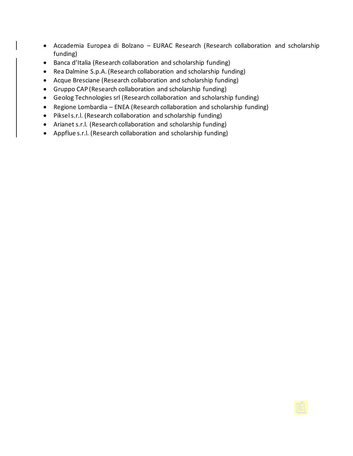- Accademia Europea di Bolzano EURAC Research (Research collaboration and scholarship funding)
- Banca d'Italia (Research collaboration and scholarship funding)
- Rea Dalmine S.p.A. (Research collaboration and scholarship funding)
- Acque Bresciane (Research collaboration and scholarship funding)
- Gruppo CAP (Research collaboration and scholarship funding)
- Geolog Technologies srl (Research collaboration and scholarship funding)
- Regione Lombardia ENEA (Research collaboration and scholarship funding)
- Piksel s.r.l. (Research collaboration and scholarship funding)
- Arianet s.r.l. (Research collaboration and scholarship funding)
- Appflue s.r.l. (Research collaboration and scholarship funding)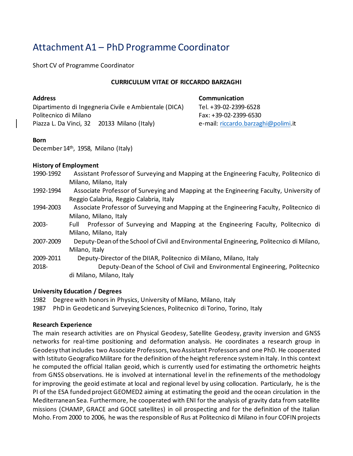# Attachment A1 – PhD Programme Coordinator

Short CV of Programme Coordinator

#### **CURRICULUM VITAE OF RICCARDO BARZAGHI**

**Address Communication** Dipartimento di Ingegneria Civile e Ambientale (DICA) Tel. +39-02-2399-6528 Politecnico di Milano Fax: +39-02-2399-6530 Piazza L. Da Vinci, 32 20133 Milano (Italy) e-mail: [riccardo.barzaghi@polimi.i](mailto:riccardo.barzaghi@polimi)t

#### **Born**

December 14<sup>th</sup>, 1958, Milano (Italy)

#### **History of Employment**

- 1990-1992 Assistant Professor of Surveying and Mapping at the Engineering Faculty, Politecnico di Milano, Milano, Italy
- 1992-1994 Associate Professor of Surveying and Mapping at the Engineering Faculty, University of Reggio Calabria, Reggio Calabria, Italy
- 1994-2003 Associate Professor of Surveying and Mapping at the Engineering Faculty, Politecnico di Milano, Milano, Italy
- 2003- Full Professor of Surveying and Mapping at the Engineering Faculty, Politecnico di Milano, Milano, Italy
- 2007-2009 Deputy-Dean of the School of Civil and Environmental Engineering, Politecnico di Milano, Milano, Italy
- 2009-2011 Deputy-Director of the DIIAR, Politecnico di Milano, Milano, Italy
- 2018- Deputy-Dean of the School of Civil and Environmental Engineering, Politecnico di Milano, Milano, Italy

## **University Education / Degrees**

1982 Degree with honors in Physics, University of Milano, Milano, Italy

1987 PhD in Geodetic and Surveying Sciences, Politecnico di Torino, Torino, Italy

#### **Research Experience**

The main research activities are on Physical Geodesy, Satellite Geodesy, gravity inversion and GNSS networks for real-time positioning and deformation analysis. He coordinates a research group in Geodesy that includes two Associate Professors, two Assistant Professors and one PhD. He cooperated with Istituto Geografico Militare for the definition of the height reference system in Italy. In this context he computed the official Italian geoid, which is currently used for estimating the orthometric heights from GNSS observations. He is involved at international level in the refinements of the methodology for improving the geoid estimate at local and regional level by using collocation. Particularly, he is the PI of the ESA funded project GEOMED2 aiming at estimating the geoid and the ocean circulation in the Mediterranean Sea. Furthermore, he cooperated with ENI for the analysis of gravity data from satellite missions (CHAMP, GRACE and GOCE satellites) in oil prospecting and for the definition of the Italian Moho. From 2000 to 2006, he was the responsible of Rus at Politecnico di Milano in four COFIN projects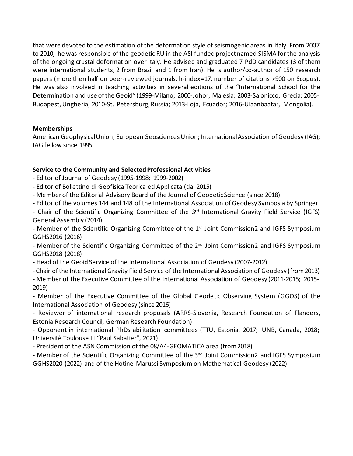that were devoted to the estimation of the deformation style of seismogenic areas in Italy. From 2007 to 2010, he was responsible of the geodetic RU in the ASI funded project named SISMA for the analysis of the ongoing crustal deformation over Italy. He advised and graduated 7 PdD candidates (3 of them were international students, 2 from Brazil and 1 from Iran). He is author/co-author of 150 research papers (more then half on peer-reviewed journals, h-index=17, number of citations >900 on Scopus). He was also involved in teaching activities in several editions of the "International School for the Determination and use of the Geoid" (1999-Milano; 2000-Johor, Malesia; 2003-Salonicco, Grecia; 2005- Budapest, Ungheria; 2010-St. Petersburg, Russia; 2013-Loja, Ecuador; 2016-Ulaanbaatar, Mongolia).

## **Memberships**

American Geophysical Union; European Geosciences Union; International Association of Geodesy (IAG); IAG fellow since 1995.

## **Service to the Community and Selected Professional Activities**

- Editor of Journal of Geodesy (1995-1998; 1999-2002)
- Editor of Bollettino di Geofisica Teorica ed Applicata (dal 2015)
- Member of the Editorial Advisory Board of the Journal of Geodetic Science (since 2018)
- Editor of the volumes 144 and 148 of the International Association of Geodesy Symposia by Springer

- Chair of the Scientific Organizing Committee of the 3<sup>rd</sup> International Gravity Field Service (IGFS) General Assembly (2014)

- Member of the Scientific Organizing Committee of the 1<sup>st</sup> Joint Commission2 and IGFS Symposium GGHS2016 (2016)

- Member of the Scientific Organizing Committee of the 2<sup>nd</sup> Joint Commission2 and IGFS Symposium GGHS2018 (2018)

- Head of the Geoid Service of the International Association of Geodesy (2007-2012)
- Chair of the International Gravity Field Service of the International Association of Geodesy (from 2013)

- Member of the Executive Committee of the International Association of Geodesy (2011-2015; 2015- 2019)

- Member of the Executive Committee of the Global Geodetic Observing System (GGOS) of the International Association of Geodesy (since 2016)

- Reviewer of international research proposals (ARRS-Slovenia, Research Foundation of Flanders, Estonia Research Council, German Research Foundation)

- Opponent in international PhDs abilitation committees (TTU, Estonia, 2017; UNB, Canada, 2018; Universitè Toulouse III "Paul Sabatier", 2021)

- Presidentof the ASN Commission of the 08/A4-GEOMATICA area (from 2018)

- Member of the Scientific Organizing Committee of the 3<sup>nd</sup> Joint Commission2 and IGFS Symposium GGHS2020 (2022) and of the Hotine-Marussi Symposium on Mathematical Geodesy (2022)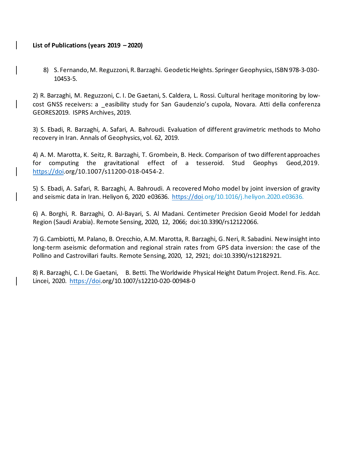#### **List of Publications (years 2019 – 2020)**

8) S. Fernando, M. Reguzzoni, R. Barzaghi. Geodetic Heights. Springer Geophysics, ISBN 978-3-030- 10453-5.

2) R. Barzaghi, M. Reguzzoni, C. I. De Gaetani, S. Caldera, L. Rossi. Cultural heritage monitoring by lowcost GNSS receivers: a \_easibility study for San Gaudenzio's cupola, Novara. Atti della conferenza GEORES2019. ISPRS Archives, 2019.

3) S. Ebadi, R. Barzaghi, A. Safari, A. Bahroudi. Evaluation of different gravimetric methods to Moho recovery in Iran. Annals of Geophysics, vol. 62, 2019.

4) A. M. Marotta, K. Seitz, R. Barzaghi, T. Grombein, B. Heck. Comparison of two different approaches for computing the gravitational effect of a tesseroid. Stud Geophys Geod,2019. [https://doi.o](https://doi/)rg/10.1007/s11200-018-0454-2.

5) S. Ebadi, A. Safari, R. Barzaghi, A. Bahroudi. A recovered Moho model by joint inversion of gravity and seismic data in Iran. Heliyon 6, 2020 e03636. [https://doi.](https://doi/)org/10.1016/j.heliyon.2020.e03636.

6) A. Borghi, R. Barzaghi, O. Al-Bayari, S. Al Madani. Centimeter Precision Geoid Model for Jeddah Region (Saudi Arabia). Remote Sensing, 2020, 12, 2066; doi:10.3390/rs12122066.

7) G. Cambiotti, M. Palano, B. Orecchio, A.M. Marotta, R. Barzaghi, G. Neri, R. Sabadini. New insight into long-term aseismic deformation and regional strain rates from GPS data inversion: the case of the Pollino and Castrovillari faults. Remote Sensing, 2020, 12, 2921; doi:10.3390/rs12182921.

8) R. Barzaghi, C. I. De Gaetani, B. Betti. The Worldwide Physical Height Datum Project. Rend. Fis. Acc. Lincei, 2020. [https://doi.](https://doi/)org/10.1007/s12210-020-00948-0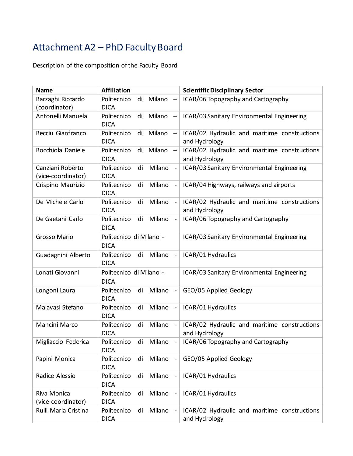# Attachment A2 – PhD Faculty Board

Description of the composition of the Faculty Board

| <b>Name</b>                            | <b>Affiliation</b>                                                     | <b>Scientific Disciplinary Sector</b>                                                     |
|----------------------------------------|------------------------------------------------------------------------|-------------------------------------------------------------------------------------------|
| Barzaghi Riccardo                      | Politecnico<br>Milano -<br>di                                          | ICAR/06 Topography and Cartography                                                        |
| (coordinator)                          | <b>DICA</b>                                                            |                                                                                           |
| Antonelli Manuela                      | Politecnico<br>di Milano -<br><b>DICA</b>                              | ICAR/03 Sanitary Environmental Engineering                                                |
| Becciu Gianfranco                      | Milano<br>Politecnico<br>di<br>$\overline{\phantom{a}}$<br><b>DICA</b> | ICAR/02 Hydraulic and maritime constructions<br>and Hydrology                             |
| Bocchiola Daniele                      | di Milano<br>Politecnico<br>$\overline{\phantom{m}}$<br><b>DICA</b>    | ICAR/02 Hydraulic and maritime constructions<br>and Hydrology                             |
| Canziani Roberto<br>(vice-coordinator) | Milano<br>Politecnico<br>di<br><b>DICA</b>                             | ICAR/03 Sanitary Environmental Engineering<br>$\blacksquare$                              |
| Crispino Maurizio                      | Milano<br>Politecnico<br>di<br>$\sim$ $-$<br><b>DICA</b>               | ICAR/04 Highways, railways and airports                                                   |
| De Michele Carlo                       | Milano<br>Politecnico<br>di<br>$\sim$ $-$<br><b>DICA</b>               | ICAR/02 Hydraulic and maritime constructions<br>and Hydrology                             |
| De Gaetani Carlo                       | Milano<br>Politecnico<br>di<br>$\sim$<br><b>DICA</b>                   | ICAR/06 Topography and Cartography                                                        |
| <b>Grosso Mario</b>                    | Politecnico di Milano -<br><b>DICA</b>                                 | ICAR/03 Sanitary Environmental Engineering                                                |
| Guadagnini Alberto                     | Politecnico<br>Milano<br>di<br><b>DICA</b>                             | ICAR/01 Hydraulics<br>$\blacksquare$                                                      |
| Lonati Giovanni                        | Politecnico di Milano -<br><b>DICA</b>                                 | ICAR/03 Sanitary Environmental Engineering                                                |
| Longoni Laura                          | Milano<br>Politecnico<br>di<br><b>DICA</b>                             | GEO/05 Applied Geology<br>$\blacksquare$                                                  |
| Malavasi Stefano                       | Milano<br>Politecnico<br>di<br><b>DICA</b>                             | ICAR/01 Hydraulics<br>$\blacksquare$                                                      |
| Mancini Marco                          | Politecnico<br>Milano<br>di<br><b>DICA</b>                             | ICAR/02 Hydraulic and maritime constructions<br>$\overline{\phantom{a}}$<br>and Hydrology |
| Migliaccio Federica                    | di Milano<br>Politecnico<br><b>DICA</b>                                | ICAR/06 Topography and Cartography<br>- 1                                                 |
| Papini Monica                          | Milano -<br>Politecnico<br>di<br><b>DICA</b>                           | GEO/05 Applied Geology                                                                    |
| Radice Alessio                         | Milano<br>Politecnico<br>di<br><b>DICA</b>                             | ICAR/01 Hydraulics<br>$\blacksquare$                                                      |
| Riva Monica<br>(vice-coordinator)      | Milano<br>Politecnico<br>di<br>$\blacksquare$<br><b>DICA</b>           | ICAR/01 Hydraulics                                                                        |
| Rulli Maria Cristina                   | Milano<br>Politecnico<br>di<br><b>DICA</b>                             | ICAR/02 Hydraulic and maritime constructions<br>$\blacksquare$<br>and Hydrology           |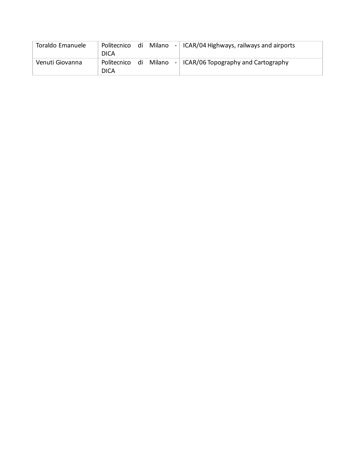| Toraldo Emanuele | Politecnico<br><b>DICA</b> | di | Milano | -   ICAR/04 Highways, railways and airports |
|------------------|----------------------------|----|--------|---------------------------------------------|
| Venuti Giovanna  | Politecnico<br><b>DICA</b> | di | Milano | -   ICAR/06 Topography and Cartography      |